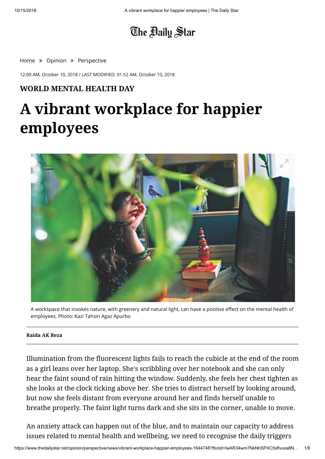# The Baily Star

[Home](https://www.thedailystar.net/) » [Opinion](https://www.thedailystar.net/opinion) » [Perspective](https://www.thedailystar.net/opinion/perspective)

12:00 AM, October 10, 2018 / LAST MODIFIED: 01:52 AM, October 10, 2018

# **WORLD MENTAL HEALTH DAY**

# **A vibrant workplace for happier employees**



A workspace that invokes nature, with greenery and natural light, can have a positive effect on the mental health of employees. Photo: Kazi Tahsin Agaz Apurbo

#### **[Raida AK Reza](https://www.thedailystar.net/author/raida-ak-reza)**

Illumination from the fluorescent lights fails to reach the cubicle at the end of the room as a girl leans over her laptop. She's scribbling over her notebook and she can only hear the faint sound of rain hitting the window. Suddenly, she feels her chest tighten as she looks at the clock ticking above her. She tries to distract herself by looking around, but now she feels distant from everyone around her and finds herself unable to breathe properly. The faint light turns dark and she sits in the corner, unable to move.

An anxiety attack can happen out of the blue, and to maintain our capacity to address issues related to mental health and wellbeing, we need to recognise the daily triggers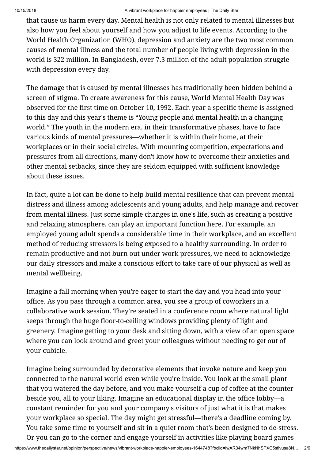that cause us harm every day. Mental health is not only related to mental illnesses but also how you feel about yourself and how you adjust to life events. According to the World Health Organization (WHO), depression and anxiety are the two most common causes of mental illness and the total number of people living with depression in the world is 322 million. In Bangladesh, over 7.3 million of the adult population struggle with depression every day.

The damage that is caused by mental illnesses has traditionally been hidden behind a screen of stigma. To create awareness for this cause, World Mental Health Day was observed for the first time on October 10, 1992. Each year a specific theme is assigned to this day and this year's theme is "Young people and mental health in a changing world." The youth in the modern era, in their transformative phases, have to face various kinds of mental pressures—whether it is within their home, at their workplaces or in their social circles. With mounting competition, expectations and pressures from all directions, many don't know how to overcome their anxieties and other mental setbacks, since they are seldom equipped with sufficient knowledge about these issues.

In fact, quite a lot can be done to help build mental resilience that can prevent mental distress and illness among adolescents and young adults, and help manage and recover from mental illness. Just some simple changes in one's life, such as creating a positive and relaxing atmosphere, can play an important function here. For example, an employed young adult spends a considerable time in their workplace, and an excellent method of reducing stressors is being exposed to a healthy surrounding. In order to remain productive and not burn out under work pressures, we need to acknowledge our daily stressors and make a conscious effort to take care of our physical as well as mental wellbeing.

Imagine a fall morning when you're eager to start the day and you head into your office. As you pass through a common area, you see a group of coworkers in a collaborative work session. They're seated in a conference room where natural light seeps through the huge floor-to-ceiling windows providing plenty of light and greenery. Imagine getting to your desk and sitting down, with a view of an open space where you can look around and greet your colleagues without needing to get out of your cubicle.

Imagine being surrounded by decorative elements that invoke nature and keep you connected to the natural world even while you're inside. You look at the small plant that you watered the day before, and you make yourself a cup of coffee at the counter beside you, all to your liking. Imagine an educational display in the office lobby—a constant reminder for you and your company's visitors of just what it is that makes your workplace so special. The day might get stressful—there's a deadline coming by. You take some time to yourself and sit in a quiet room that's been designed to de-stress. Or you can go to the corner and engage yourself in activities like playing board games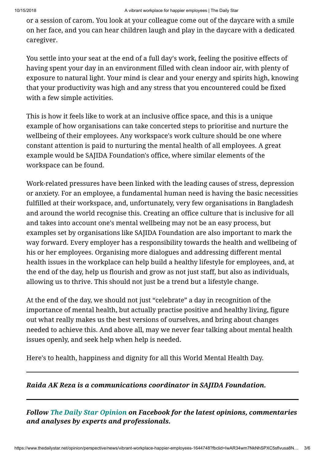or a session of carom. You look at your colleague come out of the daycare with a smile on her face, and you can hear children laugh and play in the daycare with a dedicated caregiver.

You settle into your seat at the end of a full day's work, feeling the positive effects of having spent your day in an environment filled with clean indoor air, with plenty of exposure to natural light. Your mind is clear and your energy and spirits high, knowing that your productivity was high and any stress that you encountered could be fixed with a few simple activities.

This is how it feels like to work at an inclusive office space, and this is a unique example of how organisations can take concerted steps to prioritise and nurture the wellbeing of their employees. Any workspace's work culture should be one where constant attention is paid to nurturing the mental health of all employees. A great example would be SAJIDA Foundation's office, where similar elements of the workspace can be found.

Work-related pressures have been linked with the leading causes of stress, depression or anxiety. For an employee, a fundamental human need is having the basic necessities fulfilled at their workspace, and, unfortunately, very few organisations in Bangladesh and around the world recognise this. Creating an office culture that is inclusive for all and takes into account one's mental wellbeing may not be an easy process, but examples set by organisations like SAJIDA Foundation are also important to mark the way forward. Every employer has a responsibility towards the health and wellbeing of his or her employees. Organising more dialogues and addressing different mental health issues in the workplace can help build a healthy lifestyle for employees, and, at the end of the day, help us flourish and grow as not just staff, but also as individuals, allowing us to thrive. This should not just be a trend but a lifestyle change.

At the end of the day, we should not just "celebrate" a day in recognition of the importance of mental health, but actually practise positive and healthy living, figure out what really makes us the best versions of ourselves, and bring about changes needed to achieve this. And above all, may we never fear talking about mental health issues openly, and seek help when help is needed.

Here's to health, happiness and dignity for all this World Mental Health Day.

# *Raida AK Reza is a communications coordinator in SAJIDA Foundation.*

*Follow [The Daily Star Opinion](https://www.facebook.com/dsopinion) on Facebook for the latest opinions, commentaries and analyses by experts and professionals.*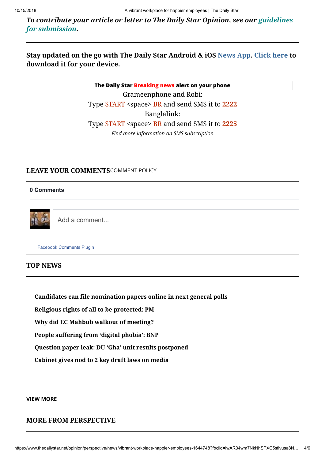*[To contribute your article or letter to The Daily Star Opinion, see our guidelines](https://www.thedailystar.net/submissions-op-eds-and-letters) for submission.*

# **Stay updated on the go with [The Daily Star](https://www.thedailystar.net/) Android & iOS [News App](https://www.thedailystar.net/apps-upgrade/index.html). [Click here](https://www.thedailystar.net/apps-upgrade/index.html) to download it for your device.**

Grameenphone and Robi: Type START <space> BR and send SMS it to **2222** Banglalink: Type START <space> BR and send SMS it to **2225 [The Daily Star Breaking news alert on your phone](https://www.thedailystar.net/sms-subscription)** *[Find more information on SMS subscription](https://www.thedailystar.net/sms-subscription)*

#### **LEAVE YOUR COMMENTS**[COMMENT POLICY](https://www.thedailystar.net/comment-policy)

#### **0 Comments**



Add a comment...

[Facebook Comments Plugin](https://developers.facebook.com/products/social-plugins/comments/?utm_campaign=social_plugins&utm_medium=offsite_pages&utm_source=comments_plugin)

#### **TOP NEWS**

**[Candidates can file nomination papers online in next general polls](https://www.thedailystar.net/politics/bangladesh-11th-national-election-candidates-can-file-nomination-papers-online-1647283)**

**[Religious rights of all to be protected: PM](https://www.thedailystar.net/country/durga-puja-2018-in-bangladesh-religious-rights-all-be-protected-pm-1647247)**

**[Why did EC Mahbub walkout of meeting?](https://www.thedailystar.net/politics/news/why-did-ec-mahbub-walkout-meeting-1647286)**

**[People suffering from 'digital phobia': BNP](https://www.thedailystar.net/politics/digital-security-act-2018-people-suffering-digital-phobia-bnp-1647337)**

**[Question paper leak: DU 'Gha' unit results postponed](https://www.thedailystar.net/city/dhaka-university-du-suspends-gha-unit-admission-test-result-question-paper-leak-allegations-1647211)**

**[Cabinet gives nod to 2 key draft laws on media](https://www.thedailystar.net/country/broadcast-act-2018-bangladesh-cabinet-gives-draft-law-1647220)**

#### **[VIEW MORE](https://www.thedailystar.net/top-news)**

### **MORE FROM [PERSPECTIVE](https://www.thedailystar.net/opinion/perspective)**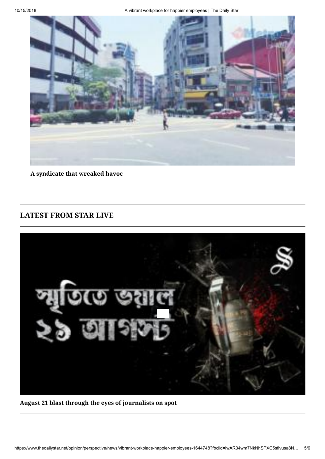

**[A syndicate that wreaked havoc](https://www.thedailystar.net/opinion/perspective/news/syndicate-wreaked-havoc-1646980)**

# **[LATEST FROM STAR LIVE](https://www.thedailystar.net/video-stories)**



**[August 21 blast through the eyes of journalists on spot](https://www.thedailystar.net/august-21-carnage/21-august-grenade-attack-through-the-eyes-journalists-1645093)**